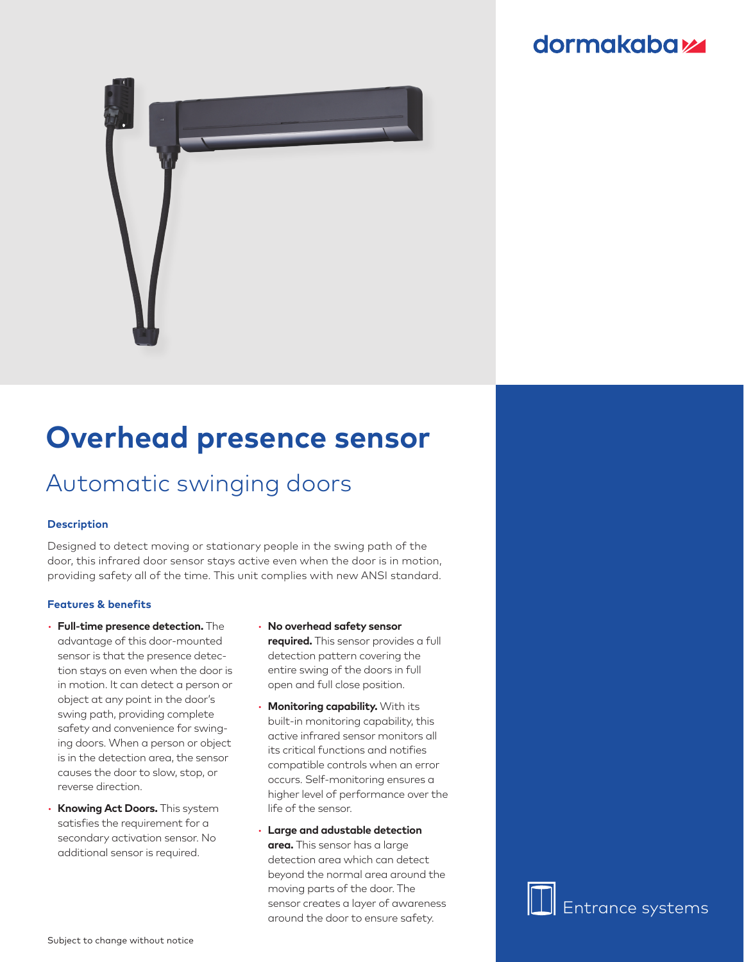### **dormakabazz**



# **Overhead presence sensor**

## Automatic swinging doors

#### **Description**

Designed to detect moving or stationary people in the swing path of the door, this infrared door sensor stays active even when the door is in motion, providing safety all of the time. This unit complies with new ANSI standard.

#### **Features & benefits**

- **Full-time presence detection.** The advantage of this door-mounted sensor is that the presence detection stays on even when the door is in motion. It can detect a person or object at any point in the door's swing path, providing complete safety and convenience for swinging doors. When a person or object is in the detection area, the sensor causes the door to slow, stop, or reverse direction.
- **Knowing Act Doors.** This system satisfies the requirement for a secondary activation sensor. No additional sensor is required.
- **No overhead safety sensor required.** This sensor provides a full detection pattern covering the entire swing of the doors in full open and full close position.
- **Monitoring capability.** With its built-in monitoring capability, this active infrared sensor monitors all its critical functions and notifies compatible controls when an error occurs. Self-monitoring ensures a higher level of performance over the life of the sensor.
- **Large and adustable detection area.** This sensor has a large detection area which can detect beyond the normal area around the moving parts of the door. The sensor creates a layer of awareness around the door to ensure safety.